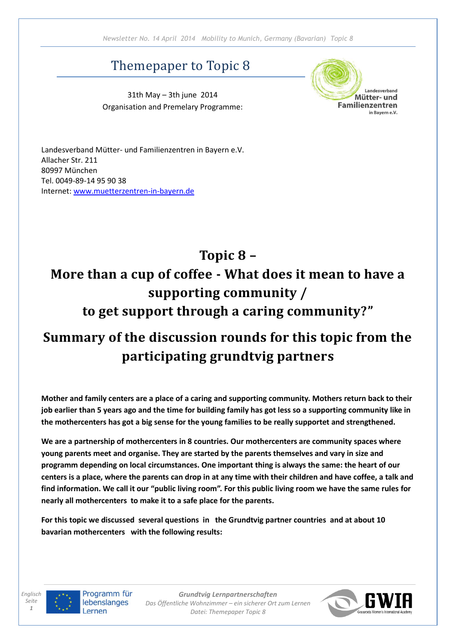## Themepaper to Topic 8

31th May – 3th june 2014 Organisation and Premelary Programme:



Landesverband Mütter- und Familienzentren in Bayern e.V. Allacher Str. 211 80997 München Tel. 0049-89-14 95 90 38 Internet: [www.muetterzentren-in-bayern.de](http://www.muetterzentren-in-bayern.de/)

# **Topic 8 – More than a cup of coffee - What does it mean to have a supporting community / to get support through a caring community?"**

## **Summary of the discussion rounds for this topic from the participating grundtvig partners**

**Mother and family centers are a place of a caring and supporting community. Mothers return back to their job earlier than 5 years ago and the time for building family has got less so a supporting community like in the mothercenters has got a big sense for the young families to be really supportet and strengthened.**

**We are a partnership of mothercenters in 8 countries. Our mothercenters are community spaces where young parents meet and organise. They are started by the parents themselves and vary in size and programm depending on local circumstances. One important thing is always the same: the heart of our centers is a place, where the parents can drop in at any time with their children and have coffee, a talk and find information. We call it our "public living room". For this public living room we have the same rules for nearly all mothercenters to make it to a safe place for the parents.** 

**For this topic we discussed several questions in the Grundtvig partner countries and at about 10 bavarian mothercenters with the following results:**



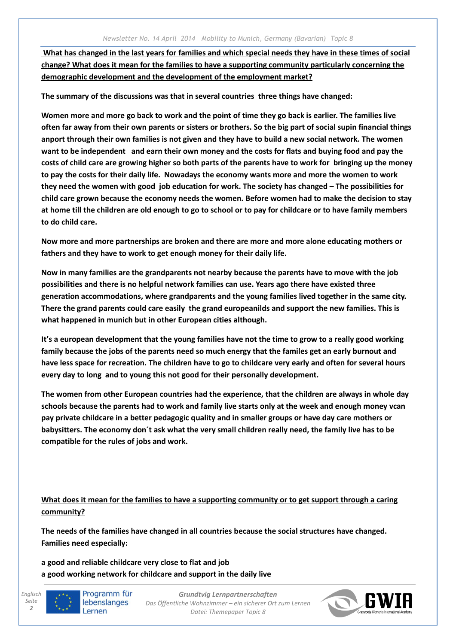**What has changed in the last years for families and which special needs they have in these times of social change? What does it mean for the families to have a supporting community particularly concerning the demographic development and the development of the employment market?**

**The summary of the discussions was that in several countries three things have changed:** 

**Women more and more go back to work and the point of time they go back is earlier. The families live often far away from their own parents or sisters or brothers. So the big part of social supin financial things anport through their own families is not given and they have to build a new social network. The women want to be independent and earn their own money and the costs for flats and buying food and pay the costs of child care are growing higher so both parts of the parents have to work for bringing up the money to pay the costs for their daily life. Nowadays the economy wants more and more the women to work they need the women with good job education for work. The society has changed – The possibilities for child care grown because the economy needs the women. Before women had to make the decision to stay at home till the children are old enough to go to school or to pay for childcare or to have family members to do child care.** 

**Now more and more partnerships are broken and there are more and more alone educating mothers or fathers and they have to work to get enough money for their daily life.**

**Now in many families are the grandparents not nearby because the parents have to move with the job possibilities and there is no helpful network families can use. Years ago there have existed three generation accommodations, where grandparents and the young families lived together in the same city. There the grand parents could care easily the grand europeanilds and support the new families. This is what happened in munich but in other European cities although.**

**It's a european development that the young families have not the time to grow to a really good working family because the jobs of the parents need so much energy that the familes get an early burnout and have less space for recreation. The children have to go to childcare very early and often for several hours every day to long and to young this not good for their personally development.**

**The women from other European countries had the experience, that the children are always in whole day schools because the parents had to work and family live starts only at the week and enough money vcan pay private childcare in a better pedagogic quality and in smaller groups or have day care mothers or babysitters. The economy don´t ask what the very small children really need, the family live has to be compatible for the rules of jobs and work.**

**What does it mean for the families to have a supporting community or to get support through a caring community?**

**The needs of the families have changed in all countries because the social structures have changed. Families need especially:**

**a good and reliable childcare very close to flat and job a good working network for childcare and support in the daily live**



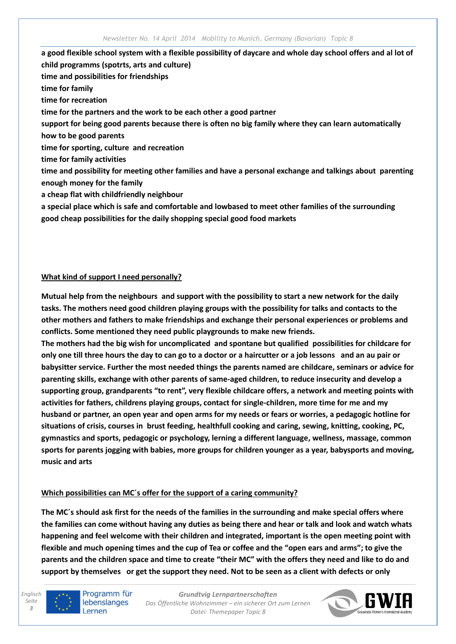**a good flexible school system with a flexible possibility of daycare and whole day school offers and al lot of child programms (spotrts, arts and culture) time and possibilities for friendships time for family time for recreation time for the partners and the work to be each other a good partner support for being good parents because there is often no big family where they can learn automatically how to be good parents time for sporting, culture and recreation time for family activities time and possibility for meeting other families and have a personal exchange and talkings about parenting enough money for the family a cheap flat with childfriendly neighbour a special place which is safe and comfortable and lowbased to meet other families of the surrounding good cheap possibilities for the daily shopping special good food markets**

#### **What kind of support I need personally?**

**Mutual help from the neighbours and support with the possibility to start a new network for the daily tasks. The mothers need good children playing groups with the possibility for talks and contacts to the other mothers and fathers to make friendships and exchange their personal experiences or problems and conflicts. Some mentioned they need public playgrounds to make new friends.**

**The mothers had the big wish for uncomplicated and spontane but qualified possibilities for childcare for only one till three hours the day to can go to a doctor or a haircutter or a job lessons and an au pair or babysitter service. Further the most needed things the parents named are childcare, seminars or advice for parenting skills, exchange with other parents of same-aged children, to reduce insecurity and develop a supporting group, grandparents "to rent", very flexible childcare offers, a network and meeting points with activities for fathers, childrens playing groups, contact for single-children, more time for me and my husband or partner, an open year and open arms for my needs or fears or worries, a pedagogic hotline for situations of crisis, courses in brust feeding, healthfull cooking and caring, sewing, knitting, cooking, PC, gymnastics and sports, pedagogic or psychology, lerning a different language, wellness, massage, common sports for parents jogging with babies, more groups for children younger as a year, babysports and moving, music and arts** 

#### **Which possibilities can MC´s offer for the support of a caring community?**

**The MC´s should ask first for the needs of the families in the surrounding and make special offers where the families can come without having any duties as being there and hear or talk and look and watch whats happening and feel welcome with their children and integrated, important is the open meeting point with flexible and much opening times and the cup of Tea or coffee and the "open ears and arms"; to give the parents and the children space and time to create "their MC" with the offers they need and like to do and support by themselves or get the support they need. Not to be seen as a client with defects or only** 



Programm für lebenslanges Lernen

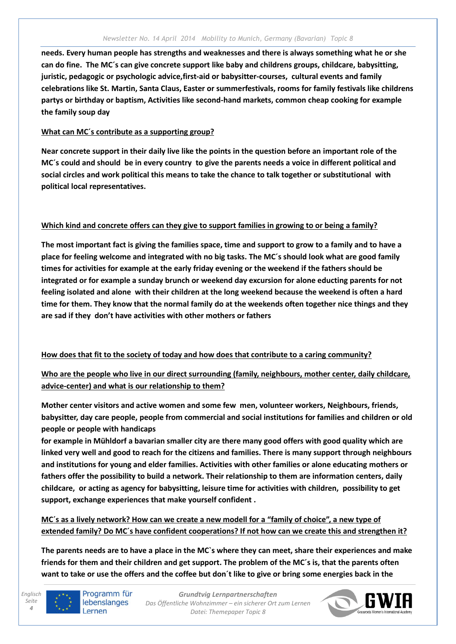**needs. Every human people has strengths and weaknesses and there is always something what he or she can do fine. The MC´s can give concrete support like baby and childrens groups, childcare, babysitting, juristic, pedagogic or psychologic advice,first-aid or babysitter-courses, cultural events and family celebrations like St. Martin, Santa Claus, Easter or summerfestivals, rooms for family festivals like childrens partys or birthday or baptism, Activities like second-hand markets, common cheap cooking for example the family soup day**

### **What can MC´s contribute as a supporting group?**

**Near concrete support in their daily live like the points in the question before an important role of the MC´s could and should be in every country to give the parents needs a voice in different political and social circles and work political this means to take the chance to talk together or substitutional with political local representatives.**

### **Which kind and concrete offers can they give to support families in growing to or being a family?**

**The most important fact is giving the families space, time and support to grow to a family and to have a place for feeling welcome and integrated with no big tasks. The MC´s should look what are good family times for activities for example at the early friday evening or the weekend if the fathers should be integrated or for example a sunday brunch or weekend day excursion for alone educting parents for not feeling isolated and alone with their children at the long weekend because the weekend is often a hard time for them. They know that the normal family do at the weekends often together nice things and they are sad if they don't have activities with other mothers or fathers**

## **How does that fit to the society of today and how does that contribute to a caring community?**

**Who are the people who live in our direct surrounding (family, neighbours, mother center, daily childcare, advice-center) and what is our relationship to them?**

**Mother center visitors and active women and some few men, volunteer workers, Neighbours, friends, babysitter, day care people, people from commercial and social institutions for families and children or old people or people with handicaps**

**for example in Mühldorf a bavarian smaller city are there many good offers with good quality which are linked very well and good to reach for the citizens and families. There is many support through neighbours and institutions for young and elder families. Activities with other families or alone educating mothers or fathers offer the possibility to build a network. Their relationship to them are information centers, daily childcare, or acting as agency for babysitting, leisure time for activities with children, possibility to get support, exchange experiences that make yourself confident .**

**MC´s as a lively network? How can we create a new modell for a "family of choice", a new type of extended family? Do MC´s have confident cooperations? If not how can we create this and strengthen it?**

**The parents needs are to have a place in the MC`s where they can meet, share their experiences and make friends for them and their children and get support. The problem of the MC´s is, that the parents often want to take or use the offers and the coffee but don´t like to give or bring some energies back in the**